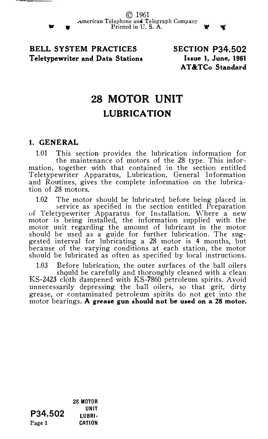BELL SYSTEM PRACTICES Teletypewriter and Data Stations SECTION P34.502 Issue 1, June, 1961 AT&TCo Standard

## 28 MOTOR UNIT LUBRICATION

## 1. GENERAL

1.01 This section provides the lubrication information for the maintenance of motors of the 28 type. This information, together with that contained in the section entitled Teletypewriter Apparatus, Lubrication, General Information and Routines, gives the complete information on the lubrication of 28 motors.

1.02 The motor should be lubricated before being placed in service as specified in the section entitled P1·eparation uf Teletypewriter Apparatus for Installation. vVhere a new motor is being installed, the information supplied with the motor unit regarding the amount of lubricant in the motor should be used as a guide for further lubrication. The suggested interval for lubricating a 28 motor is 4 months, but because of the varying conditions at each station, the motor should be lubricated as often as specified by local instructions.

1.03 Before lubrication, the outer surfaces of the ball oilers shquld be carefully and thoroughly cleaned with a clean KS-2423 cloth dampened with KS-7860 petroleum spirits. Avoid unnecessarily depressing the ball oilers, so that grit, dirty grease, or contaminated petroleum spirits do not get into the motor bearings. A grease gun should not be used on a 28 motor.

P34.502 Page 1 28 MOTOR UNIT LUBRI· CATION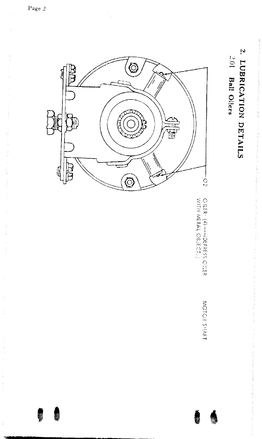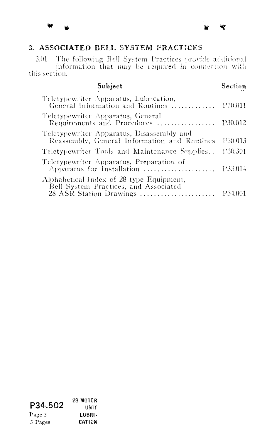## 3. ASSOCIATED BELL SYSTEM PRACTICES

Subject

 $\blacksquare$ 

The following Bell System Practices provide additional information that may be required in connection with 3.01 this section.

Section

| Teletypewriter Apparatus, Lubrication,<br>General Information and Routines                                   | P30.011  |
|--------------------------------------------------------------------------------------------------------------|----------|
| Teletypewriter Apparatus, General<br>Requirements and Procedures                                             | P30.012  |
| Teletypewriter Apparatus, Disassembly and<br>Reassembly, General Information and Routines                    | P30.013  |
| Teletypewriter Tools and Maintenance Supplies                                                                | 1230.301 |
| Teletypewriter Apparatus, Preparation of<br>Apparatus for Installation $\dots\dots\dots\dots\dots\dots$      | P33.014  |
| Alphabetical Index of 28-type Equipment,<br>Bell System Practices, and Associated<br>28 ASR Station Drawings | P34.001  |
|                                                                                                              |          |

28 M010R P34.502 UNIT Page 3 LUBRI-3 Pages CATION